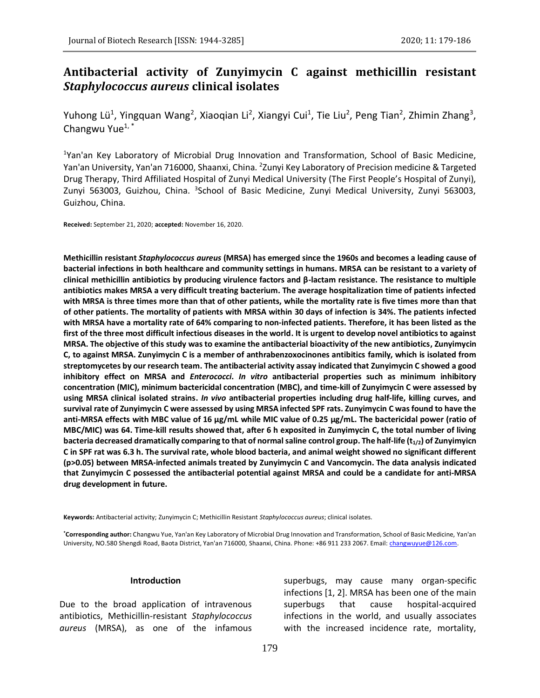# **Antibacterial activity of Zunyimycin C against methicillin resistant**  *Staphylococcus aureus* **clinical isolates**

Yuhong Lü<sup>1</sup>, Yingquan Wang<sup>2</sup>, Xiaoqian Li<sup>2</sup>, Xiangyi Cui<sup>1</sup>, Tie Liu<sup>2</sup>, Peng Tian<sup>2</sup>, Zhimin Zhang<sup>3</sup>, Changwu Yue $1, *$ 

<sup>1</sup>Yan'an Key Laboratory of Microbial Drug Innovation and Transformation, School of Basic Medicine, Yan'an University, Yan'an 716000, Shaanxi, China. <sup>2</sup>Zunyi Key Laboratory of Precision medicine & Targeted Drug Therapy, Third Affiliated Hospital of Zunyi Medical University (The First People's Hospital of Zunyi), Zunyi 563003, Guizhou, China. <sup>3</sup>School of Basic Medicine, Zunyi Medical University, Zunyi 563003, Guizhou, China.

**Received:** September 21, 2020; **accepted:** November 16, 2020.

**Methicillin resistant** *Staphylococcus aureus* **(MRSA) has emerged since the 1960s and becomes a leading cause of bacterial infections in both healthcare and community settings in humans. MRSA can be resistant to a variety of clinical methicillin antibiotics by producing virulence factors and β-lactam resistance. The resistance to multiple antibiotics makes MRSA a very difficult treating bacterium. The average hospitalization time of patients infected with MRSA is three times more than that of other patients, while the mortality rate is five times more than that of other patients. The mortality of patients with MRSA within 30 days of infection is 34%. The patients infected with MRSA have a mortality rate of 64% comparing to non-infected patients. Therefore, it has been listed as the first of the three most difficult infectious diseases in the world. It is urgent to develop novel antibiotics to against MRSA. The objective of this study was to examine the antibacterial bioactivity of the new antibiotics, Zunyimycin C, to against MRSA. Zunyimycin C is a member of anthrabenzoxocinones antibitics family, which is isolated from streptomycetes by our research team. The antibacterial activity assay indicated that Zunyimycin C showed a good inhibitory effect on MRSA and** *Enterococci***.** *In vitro* **antibacterial properties such as minimum inhibitory concentration (MIC), minimum bactericidal concentration (MBC), and time-kill of Zunyimycin C were assessed by using MRSA clinical isolated strains.** *In vivo* **antibacterial properties including drug half-life, killing curves, and survival rate of Zunyimycin C were assessed by using MRSA infected SPF rats. Zunyimycin C was found to have the anti-MRSA effects with MBC value of 16 μg/mL while MIC value of 0.25 μg/mL. The bactericidal power (ratio of MBC/MIC) was 64. Time-kill results showed that, after 6 h exposited in Zunyimycin C, the total number of living bacteria decreased dramatically comparing to that of normal saline control group. The half-life (t1/2) of Zunyimyicn C in SPF rat was 6.3 h. The survival rate, whole blood bacteria, and animal weight showed no significant different (p>0.05) between MRSA-infected animals treated by Zunyimycin C and Vancomycin. The data analysis indicated that Zunyimycin C possessed the antibacterial potential against MRSA and could be a candidate for anti-MRSA drug development in future.**

**Keywords:** Antibacterial activity; Zunyimycin C; Methicillin Resistant *Staphylococcus aureus*; clinical isolates.

**\*Corresponding author:** Changwu Yue, Yan'an Key Laboratory of Microbial Drug Innovation and Transformation, School of Basic Medicine, Yan'an University, NO.580 Shengdi Road, Baota District, Yan'an 716000, Shaanxi, China. Phone: +86 911 233 2067. Email: changwuyue@126.com.

#### **Introduction**

Due to the broad application of intravenous antibiotics, Methicillin-resistant *Staphylococcus aureus* (MRSA), as one of the infamous

superbugs, may cause many organ-specific infections [1, 2]. MRSA has been one of the main superbugs that cause hospital-acquired infections in the world, and usually associates with the increased incidence rate, mortality,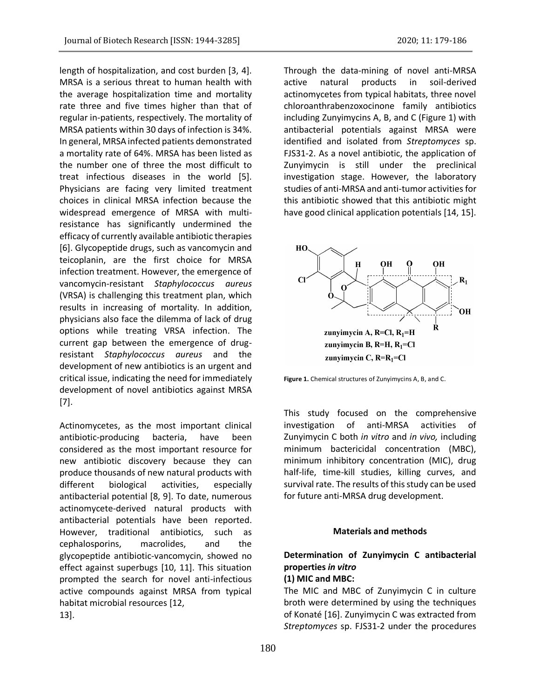length of hospitalization, and cost burden [3, 4]. MRSA is a serious threat to human health with the average hospitalization time and mortality rate three and five times higher than that of regular in-patients, respectively. The mortality of MRSA patients within 30 days of infection is 34%. In general, MRSA infected patients demonstrated a mortality rate of 64%. MRSA has been listed as the number one of three the most difficult to treat infectious diseases in the world [5]. Physicians are facing very limited treatment choices in clinical MRSA infection because the widespread emergence of MRSA with multiresistance has significantly undermined the efficacy of currently available antibiotic therapies [6]. Glycopeptide drugs, such as vancomycin and teicoplanin, are the first choice for MRSA infection treatment. However, the emergence of vancomycin-resistant *Staphylococcus aureus* (VRSA) is challenging this treatment plan, which results in increasing of mortality. In addition, physicians also face the dilemma of lack of drug options while treating VRSA infection. The current gap between the emergence of drugresistant *Staphylococcus aureus* and the development of new antibiotics is an urgent and critical issue, indicating the need for immediately development of novel antibiotics against MRSA [7].

Actinomycetes, as the most important clinical antibiotic-producing bacteria, have been considered as the most important resource for new antibiotic discovery because they can produce thousands of new natural products with different biological activities, especially antibacterial potential [8, 9]. To date, numerous actinomycete-derived natural products with antibacterial potentials have been reported. However, traditional antibiotics, such as cephalosporins, macrolides, and the glycopeptide antibiotic-vancomycin, showed no effect against superbugs [10, 11]. This situation prompted the search for novel anti-infectious active compounds against MRSA from typical habitat microbial resources [12, 13].

Through the data-mining of novel anti-MRSA active natural products in soil-derived actinomycetes from typical habitats, three novel chloroanthrabenzoxocinone family antibiotics including Zunyimycins A, B, and C (Figure 1) with antibacterial potentials against MRSA were identified and isolated from *Streptomyces* sp. FJS31-2. As a novel antibiotic, the application of Zunyimycin is still under the preclinical investigation stage. However, the laboratory studies of anti-MRSA and anti-tumor activities for this antibiotic showed that this antibiotic might have good clinical application potentials [14, 15].



**Figure 1.** Chemical structures of Zunyimycins A, B, and C.

This study focused on the comprehensive investigation of anti-MRSA activities of Zunyimycin C both *in vitro* and *in vivo,* including minimum bactericidal concentration (MBC), minimum inhibitory concentration (MIC), drug half-life, time-kill studies, killing curves, and survival rate. The results of this study can be used for future anti-MRSA drug development.

#### **Materials and methods**

## **Determination of Zunyimycin C antibacterial properties** *in vitro* **(1) MIC and MBC:**

The MIC and MBC of Zunyimycin C in culture broth were determined by using the techniques of Konaté [16]. Zunyimycin C was extracted from *Streptomyces* sp. FJS31-2 under the procedures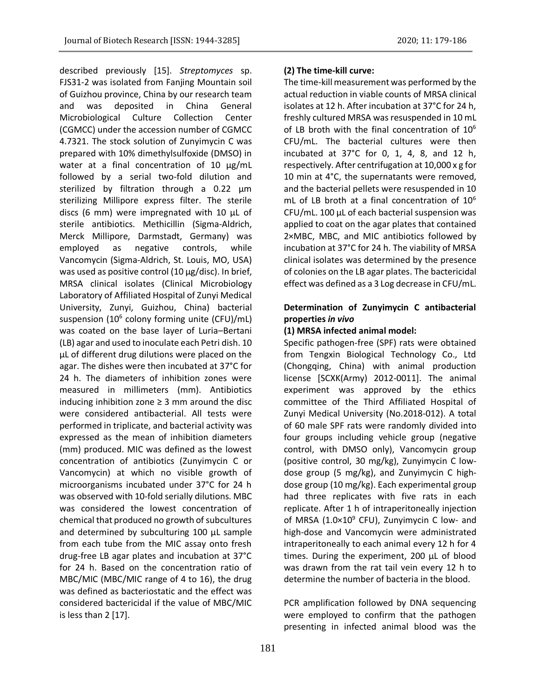described previously [15]. *Streptomyces* sp. FJS31-2 was isolated from Fanjing Mountain soil of Guizhou province, China by our research team and was deposited in China General Microbiological Culture Collection Center (CGMCC) under the accession number of CGMCC 4.7321. The stock solution of Zunyimycin C was prepared with 10% dimethylsulfoxide (DMSO) in water at a final concentration of 10 µg/mL followed by a serial two-fold dilution and sterilized by filtration through a 0.22 µm sterilizing Millipore express filter. The sterile discs (6 mm) were impregnated with 10 µL of sterile antibiotics. Methicillin (Sigma-Aldrich, Merck Millipore, Darmstadt, Germany) was employed as negative controls, while Vancomycin (Sigma-Aldrich, St. Louis, MO, USA) was used as positive control (10 µg/disc). In brief, MRSA clinical isolates (Clinical Microbiology Laboratory of Affiliated Hospital of Zunyi Medical University, Zunyi, Guizhou, China) bacterial suspension (10<sup>6</sup> colony forming unite (CFU)/mL) was coated on the base layer of Luria–Bertani (LB) agar and used to inoculate each Petri dish. 10 µL of different drug dilutions were placed on the agar. The dishes were then incubated at 37°C for 24 h. The diameters of inhibition zones were measured in millimeters (mm). Antibiotics inducing inhibition zone ≥ 3 mm around the disc were considered antibacterial. All tests were performed in triplicate, and bacterial activity was expressed as the mean of inhibition diameters (mm) produced. MIC was defined as the lowest concentration of antibiotics (Zunyimycin C or Vancomycin) at which no visible growth of microorganisms incubated under 37°C for 24 h was observed with 10-fold serially dilutions. MBC was considered the lowest concentration of chemical that produced no growth of subcultures and determined by subculturing 100 µL sample from each tube from the MIC assay onto fresh drug-free LB agar plates and incubation at 37°C for 24 h. Based on the concentration ratio of MBC/MIC (MBC/MIC range of 4 to 16), the drug was defined as bacteriostatic and the effect was considered bactericidal if the value of MBC/MIC is less than 2 [17].

### **(2) The time-kill curve:**

The time-kill measurement was performed by the actual reduction in viable counts of MRSA clinical isolates at 12 h. After incubation at 37°C for 24 h, freshly cultured MRSA was resuspended in 10 mL of LB broth with the final concentration of 10<sup>6</sup> CFU/mL. The bacterial cultures were then incubated at 37°C for 0, 1, 4, 8, and 12 h, respectively. After centrifugation at 10,000 x g for 10 min at 4°C, the supernatants were removed, and the bacterial pellets were resuspended in 10 mL of LB broth at a final concentration of  $10^6$ CFU/mL. 100 µL of each bacterial suspension was applied to coat on the agar plates that contained 2×MBC, MBC, and MIC antibiotics followed by incubation at 37°C for 24 h. The viability of MRSA clinical isolates was determined by the presence of colonies on the LB agar plates. The bactericidal effect was defined as a 3 Log decrease in CFU/mL.

## **Determination of Zunyimycin C antibacterial properties** *in vivo*

### **(1) MRSA infected animal model:**

Specific pathogen-free (SPF) rats were obtained from Tengxin Biological Technology Co., Ltd (Chongqing, China) with animal production license [SCXK(Army) 2012-0011]. The animal experiment was approved by the ethics committee of the Third Affiliated Hospital of Zunyi Medical University (No.2018-012). A total of 60 male SPF rats were randomly divided into four groups including vehicle group (negative control, with DMSO only), Vancomycin group (positive control, 30 mg/kg), Zunyimycin C lowdose group (5 mg/kg), and Zunyimycin C highdose group (10 mg/kg). Each experimental group had three replicates with five rats in each replicate. After 1 h of intraperitoneally injection of MRSA ( $1.0\times10^9$  CFU), Zunyimycin C low- and high-dose and Vancomycin were administrated intraperitoneally to each animal every 12 h for 4 times. During the experiment, 200 µL of blood was drawn from the rat tail vein every 12 h to determine the number of bacteria in the blood.

PCR amplification followed by DNA sequencing were employed to confirm that the pathogen presenting in infected animal blood was the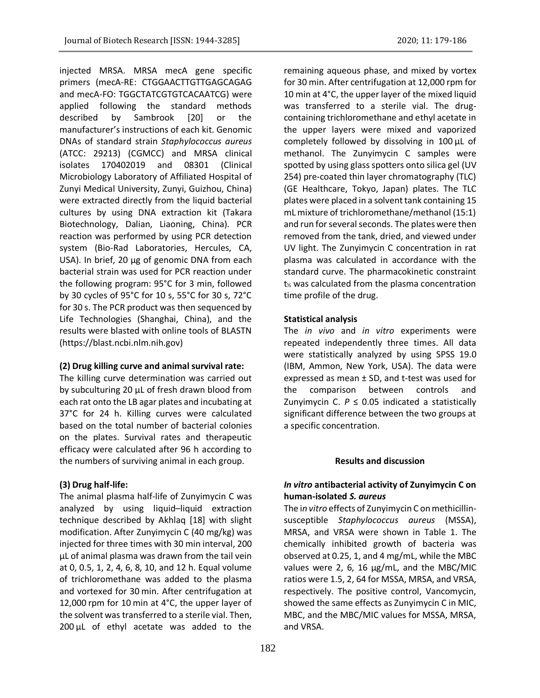injected MRSA. MRSA mecA gene specific primers (mecA-RE: CTGGAACTTGTTGAGCAGAG and mecA-FO: TGGCTATCGTGTCACAATCG) were applied following the standard methods described by Sambrook [20] or the manufacturer's instructions of each kit. Genomic DNAs of standard strain *Staphylococcus aureus* (ATCC: 29213) (CGMCC) and MRSA clinical isolates 170402019 and 08301 (Clinical Microbiology Laboratory of Affiliated Hospital of Zunyi Medical University, Zunyi, Guizhou, China) were extracted directly from the liquid bacterial cultures by using DNA extraction kit (Takara Biotechnology, Dalian, Liaoning, China). PCR reaction was performed by using PCR detection system (Bio-Rad Laboratories, Hercules, CA, USA). In brief, 20 µg of genomic DNA from each bacterial strain was used for PCR reaction under the following program: 95°C for 3 min, followed by 30 cycles of 95°C for 10 s, 55°C for 30 s, 72°C for 30 s. The PCR product was then sequenced by Life Technologies (Shanghai, China), and the results were blasted with online tools of BLASTN (https://blast.ncbi.nlm.nih.gov)

#### **(2) Drug killing curve and animal survival rate:**

The killing curve determination was carried out by subculturing 20 µL of fresh drawn blood from each rat onto the LB agar plates and incubating at 37°C for 24 h. Killing curves were calculated based on the total number of bacterial colonies on the plates. Survival rates and therapeutic efficacy were calculated after 96 h according to the numbers of surviving animal in each group.

### **(3) Drug half-life:**

The animal plasma half-life of Zunyimycin C was analyzed by using liquid–liquid extraction technique described by Akhlaq [18] with slight modification. After Zunyimycin C (40 mg/kg) was injected for three times with 30 min interval, 200 µL of animal plasma was drawn from the tail vein at 0, 0.5, 1, 2, 4, 6, 8, 10, and 12 h. Equal volume of trichloromethane was added to the plasma and vortexed for 30 min. After centrifugation at 12,000 rpm for 10 min at 4°C, the upper layer of the solvent was transferred to a sterile vial. Then, 200 µL of ethyl acetate was added to the

remaining aqueous phase, and mixed by vortex for 30 min. After centrifugation at 12,000 rpm for 10 min at 4°C, the upper layer of the mixed liquid was transferred to a sterile vial. The drugcontaining trichloromethane and ethyl acetate in the upper layers were mixed and vaporized completely followed by dissolving in 100 µL of methanol. The Zunyimycin C samples were spotted by using glass spotters onto silica gel (UV 254) pre-coated thin layer chromatography (TLC) (GE Healthcare, Tokyo, Japan) plates. The TLC plates were placed in a solvent tank containing 15 mL mixture of trichloromethane/methanol (15:1) and run for several seconds. The plates were then removed from the tank, dried, and viewed under UV light. The Zunyimycin C concentration in rat plasma was calculated in accordance with the standard curve. The pharmacokinetic constraint t<sup>½</sup> was calculated from the plasma concentration time profile of the drug.

#### **Statistical analysis**

The *in vivo* and *in vitro* experiments were repeated independently three times. All data were statistically analyzed by using SPSS 19.0 (IBM, Ammon, New York, USA). The data were expressed as mean ± SD, and t-test was used for the comparison between controls and Zunyimycin C.  $P \le 0.05$  indicated a statistically significant difference between the two groups at a specific concentration.

#### **Results and discussion**

### *In vitro* **antibacterial activity of Zunyimycin C on human-isolated** *S. aureus*

The i*n vitro* effects of Zunyimycin C on methicillinsusceptible *Staphylococcus aureus* (MSSA), MRSA, and VRSA were shown in Table 1. The chemically inhibited growth of bacteria was observed at 0.25, 1, and 4 mg/mL, while the MBC values were 2, 6, 16 µg/mL, and the MBC/MIC ratios were 1.5, 2, 64 for MSSA, MRSA, and VRSA, respectively. The positive control, Vancomycin, showed the same effects as Zunyimycin C in MIC, MBC, and the MBC/MIC values for MSSA, MRSA, and VRSA.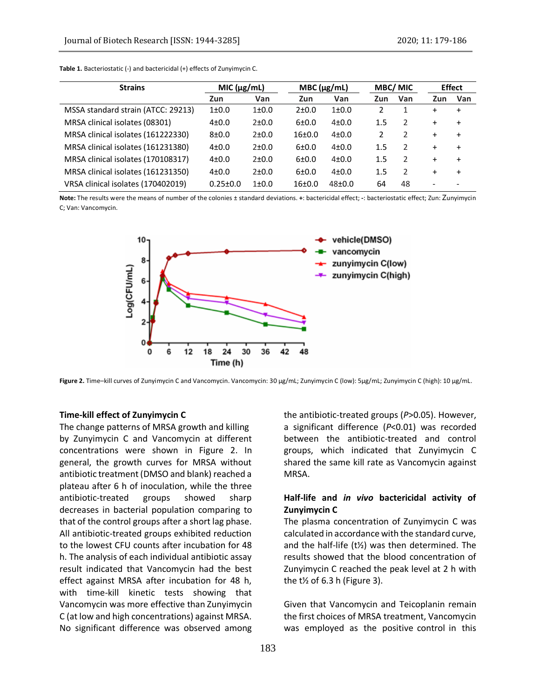| <b>Strains</b>                     | MIC (µg/mL)    |           | $MBC(\mu g/mL)$     |            | <b>MBC/MIC</b> |                | <b>Effect</b> |           |
|------------------------------------|----------------|-----------|---------------------|------------|----------------|----------------|---------------|-----------|
|                                    | Zun            | Van       | Zun                 | Van        | Zun            | Van            | Zun           | Van       |
| MSSA standard strain (ATCC: 29213) | $1 \pm 0.0$    | $1 + 0.0$ | 2±0.0               | $1 + 0.0$  |                |                | $\ddot{}$     | $\ddot{}$ |
| MRSA clinical isolates (08301)     | $4 + 0.0$      | 2±0.0     | 6±0.0               | $4 + 0.0$  | $1.5\,$        | $\mathcal{P}$  | $\ddot{}$     | $+$       |
| MRSA clinical isolates (161222330) | $8 + 0.0$      | 2±0.0     | 16 <sub>±</sub> 0.0 | $4 + 0.0$  | $\mathcal{P}$  | 2              | $\ddot{}$     | $\ddot{}$ |
| MRSA clinical isolates (161231380) | $4 + 0.0$      | 2±0.0     | 6±0.0               | $4 + 0.0$  | 1.5            | $\mathcal{P}$  | $\ddot{}$     | $\ddot{}$ |
| MRSA clinical isolates (170108317) | $4 + 0.0$      | $2+0.0$   | 6±0.0               | $4 + 0.0$  | 1.5            | 2              | $\ddot{}$     | $\ddot{}$ |
| MRSA clinical isolates (161231350) | $4 + 0.0$      | 2±0.0     | 6±0.0               | $4 + 0.0$  | $1.5\,$        | $\mathfrak{p}$ | $\ddot{}$     | $\ddot{}$ |
| VRSA clinical isolates (170402019) | $0.25 \pm 0.0$ | $1 + 0.0$ | 16 <sub>±</sub> 0.0 | $48 + 0.0$ | 64             | 48             |               |           |

**Table 1.** Bacteriostatic (-) and bactericidal (+) effects of Zunyimycin C.

**Note:** The results were the means of number of the colonies ± standard deviations. **+**: bactericidal effect; **-**: bacteriostatic effect; Zun: Zunyimycin C; Van: Vancomycin.



**Figure 2.** Time–kill curves of Zunyimycin C and Vancomycin. Vancomycin: 30 μg/mL; Zunyimycin C (low): 5μg/mL; Zunyimycin C (high): 10 μg/mL.

#### **Time-kill effect of Zunyimycin C**

The change patterns of MRSA growth and killing by Zunyimycin C and Vancomycin at different concentrations were shown in Figure 2. In general, the growth curves for MRSA without antibiotic treatment (DMSO and blank) reached a plateau after 6 h of inoculation, while the three antibiotic-treated groups showed sharp decreases in bacterial population comparing to that of the control groups after a short lag phase. All antibiotic-treated groups exhibited reduction to the lowest CFU counts after incubation for 48 h. The analysis of each individual antibiotic assay result indicated that Vancomycin had the best effect against MRSA after incubation for 48 h, with time-kill kinetic tests showing that Vancomycin was more effective than Zunyimycin C (at low and high concentrations) against MRSA. No significant difference was observed among

the antibiotic-treated groups (*P*>0.05). However, a significant difference (*P*<0.01) was recorded between the antibiotic-treated and control groups, which indicated that Zunyimycin C shared the same kill rate as Vancomycin against MRSA.

### **Half-life and** *in vivo* **bactericidal activity of Zunyimycin C**

The plasma concentration of Zunyimycin C was calculated in accordance with the standard curve, and the half-life (t½) was then determined. The results showed that the blood concentration of Zunyimycin C reached the peak level at 2 h with the  $t$ <sup>1</sup>/<sub>2</sub> of 6.3 h (Figure 3).

Given that Vancomycin and Teicoplanin remain the first choices of MRSA treatment, Vancomycin was employed as the positive control in this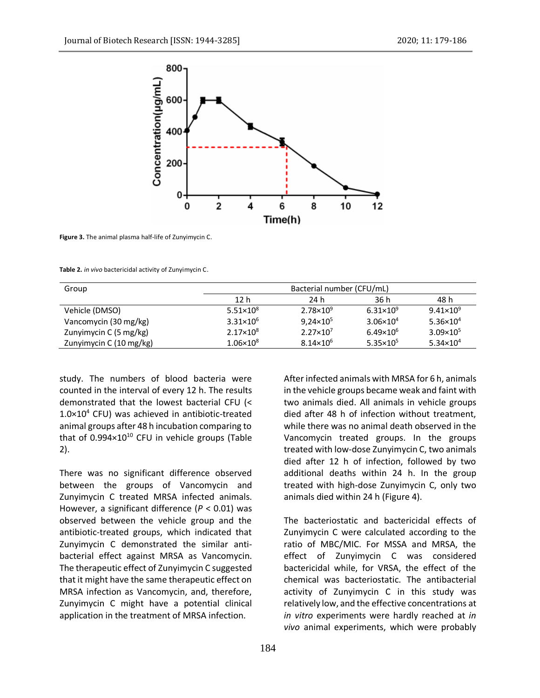

**Figure 3.** The animal plasma half-life of Zunyimycin C.

**Table 2.** *in vivo* bactericidal activity of Zunyimycin C.

| Group                   |                    | Bacterial number (CFU/mL) |                      |                      |  |  |  |  |  |
|-------------------------|--------------------|---------------------------|----------------------|----------------------|--|--|--|--|--|
|                         | 12 h               | 24 h                      | 36 h                 | 48 h                 |  |  |  |  |  |
| Vehicle (DMSO)          | $5.51 \times 10^8$ | $2.78 \times 10^{9}$      | $6.31 \times 10^{9}$ | $9.41 \times 10^{9}$ |  |  |  |  |  |
| Vancomycin (30 mg/kg)   | $3.31 \times 10^6$ | $9,24 \times 10^5$        | $3.06 \times 10^{4}$ | $5.36 \times 10^4$   |  |  |  |  |  |
| Zunyimycin C (5 mg/kg)  | $2.17 \times 10^8$ | $2.27 \times 10^7$        | $6.49 \times 10^{6}$ | $3.09 \times 10^{5}$ |  |  |  |  |  |
| Zunyimycin C (10 mg/kg) | $1.06 \times 10^8$ | $8.14 \times 10^{6}$      | $5.35 \times 10^5$   | $5.34 \times 10^4$   |  |  |  |  |  |

study. The numbers of blood bacteria were counted in the interval of every 12 h. The results demonstrated that the lowest bacterial CFU (<  $1.0\times10^4$  CFU) was achieved in antibiotic-treated animal groups after 48 h incubation comparing to that of  $0.994 \times 10^{10}$  CFU in vehicle groups (Table 2).

There was no significant difference observed between the groups of Vancomycin and Zunyimycin C treated MRSA infected animals. However, a significant difference (*P* < 0.01) was observed between the vehicle group and the antibiotic-treated groups, which indicated that Zunyimycin C demonstrated the similar antibacterial effect against MRSA as Vancomycin. The therapeutic effect of Zunyimycin C suggested that it might have the same therapeutic effect on MRSA infection as Vancomycin, and, therefore, Zunyimycin C might have a potential clinical application in the treatment of MRSA infection.

After infected animals with MRSA for 6 h, animals in the vehicle groups became weak and faint with two animals died. All animals in vehicle groups died after 48 h of infection without treatment, while there was no animal death observed in the Vancomycin treated groups. In the groups treated with low-dose Zunyimycin C, two animals died after 12 h of infection, followed by two additional deaths within 24 h. In the group treated with high-dose Zunyimycin C, only two animals died within 24 h (Figure 4).

The bacteriostatic and bactericidal effects of Zunyimycin C were calculated according to the ratio of MBC/MIC. For MSSA and MRSA, the effect of Zunyimycin C was considered bactericidal while, for VRSA, the effect of the chemical was bacteriostatic. The antibacterial activity of Zunyimycin C in this study was relatively low, and the effective concentrations at *in vitro* experiments were hardly reached at *in vivo* animal experiments, which were probably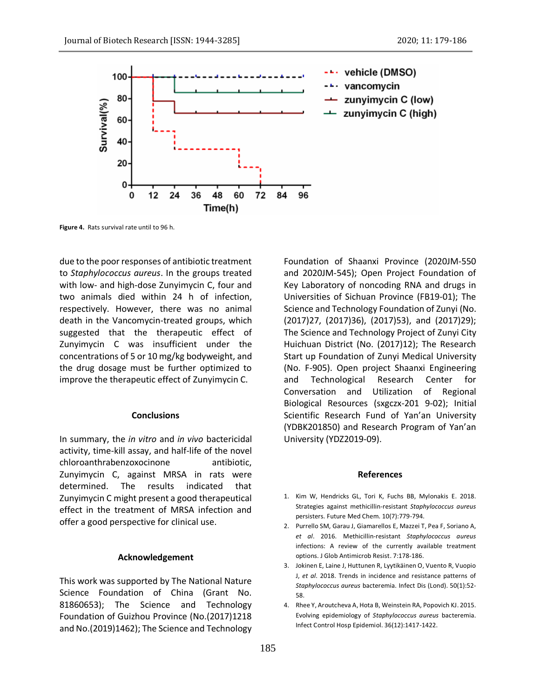

**Figure 4.** Rats survival rate until to 96 h.

due to the poor responses of antibiotic treatment to *Staphylococcus aureus*. In the groups treated with low- and high-dose Zunyimycin C, four and two animals died within 24 h of infection, respectively. However, there was no animal death in the Vancomycin-treated groups, which suggested that the therapeutic effect of Zunyimycin C was insufficient under the concentrations of 5 or 10 mg/kg bodyweight, and the drug dosage must be further optimized to improve the therapeutic effect of Zunyimycin C.

#### **Conclusions**

In summary, the *in vitro* and *in vivo* bactericidal activity, time-kill assay, and half-life of the novel chloroanthrabenzoxocinone antibiotic, Zunyimycin C, against MRSA in rats were determined. The results indicated that Zunyimycin C might present a good therapeutical effect in the treatment of MRSA infection and offer a good perspective for clinical use.

#### **Acknowledgement**

This work was supported by The National Nature Science Foundation of China (Grant No. 81860653); The Science and Technology Foundation of Guizhou Province (No.(2017)1218 and No.(2019)1462); The Science and Technology

Foundation of Shaanxi Province (2020JM-550 and 2020JM-545); Open Project Foundation of Key Laboratory of noncoding RNA and drugs in Universities of Sichuan Province (FB19-01); The Science and Technology Foundation of Zunyi (No. (2017)27, (2017)36), (2017)53), and (2017)29); The Science and Technology Project of Zunyi City Huichuan District (No. (2017)12); The Research Start up Foundation of Zunyi Medical University (No. F-905). Open project Shaanxi Engineering and Technological Research Center for Conversation and Utilization of Regional Biological Resources (sxgczx-201 9-02); Initial Scientific Research Fund of Yan'an University (YDBK201850) and Research Program of Yan'an University (YDZ2019-09).

#### **References**

- 1. Kim W, Hendricks GL, Tori K, Fuchs BB, Mylonakis E. 2018. Strategies against methicillin-resistant *Staphylococcus aureus* persisters. Future Med Chem. 10(7):779-794.
- 2. Purrello SM, Garau J, Giamarellos E, Mazzei T, Pea F, Soriano A, *et al*. 2016. Methicillin-resistant *Staphylococcus aureus* infections: A review of the currently available treatment options. J Glob Antimicrob Resist. 7:178-186.
- 3. Jokinen E, Laine J, Huttunen R, Lyytikäinen O, Vuento R, Vuopio J, *et al*. 2018. Trends in incidence and resistance patterns of *Staphylococcus aureus* bacteremia. Infect Dis (Lond). 50(1):52- 58.
- 4. Rhee Y, Aroutcheva A, Hota B, Weinstein RA, Popovich KJ. 2015. Evolving epidemiology of *Staphylococcus aureus* bacteremia. Infect Control Hosp Epidemiol. 36(12):1417-1422.